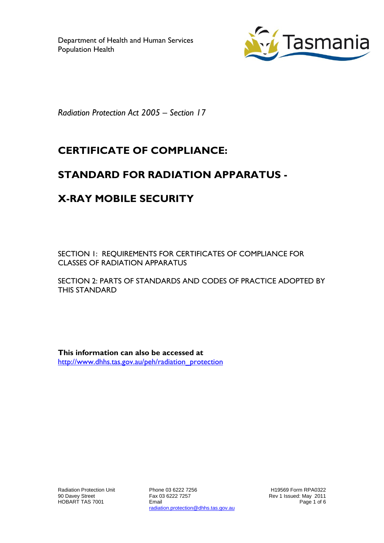

*Radiation Protection Act 2005 – Section 17*

# **CERTIFICATE OF COMPLIANCE:**

### **STANDARD FOR RADIATION APPARATUS -**

# **X-RAY MOBILE SECURITY**

SECTION 1: REQUIREMENTS FOR CERTIFICATES OF COMPLIANCE FOR CLASSES OF RADIATION APPARATUS

SECTION 2: PARTS OF STANDARDS AND CODES OF PRACTICE ADOPTED BY THIS STANDARD

**This information can also be accessed at** [http://www.dhhs.tas.gov.au/peh/radiation\\_protection](http://www.dhhs.tas.gov.au/peh/radiation_protection)

Phone 03 6222 7256 Fax 03 6222 7257 Email radiation.protection@dhhs.tas.gov.au

H19569 Form RPA0322 Rev 1 Issued: May 2011 Page 1 of 6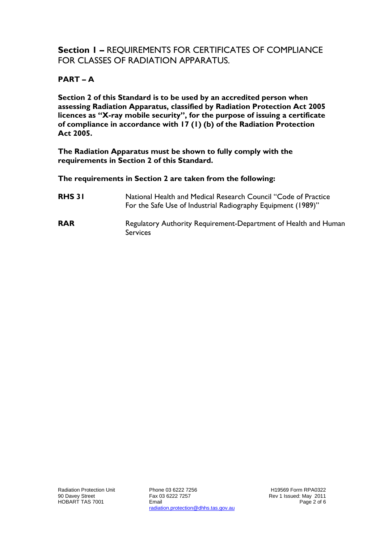### **Section 1 –** REQUIREMENTS FOR CERTIFICATES OF COMPLIANCE FOR CLASSES OF RADIATION APPARATUS.

#### **PART – A**

**Section 2 of this Standard is to be used by an accredited person when assessing Radiation Apparatus, classified by Radiation Protection Act 2005 licences as "X-ray mobile security", for the purpose of issuing a certificate of compliance in accordance with 17 (1) (b) of the Radiation Protection Act 2005.**

**The Radiation Apparatus must be shown to fully comply with the requirements in Section 2 of this Standard.**

**The requirements in Section 2 are taken from the following:**

- **RHS 31** National Health and Medical Research Council "Code of Practice For the Safe Use of Industrial Radiography Equipment (1989)"
- **RAR** Regulatory Authority Requirement-Department of Health and Human Services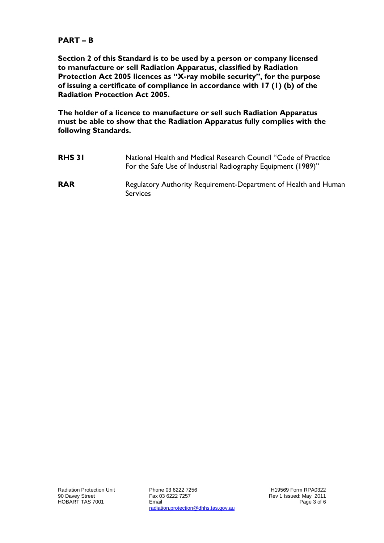#### **PART – B**

**Section 2 of this Standard is to be used by a person or company licensed to manufacture or sell Radiation Apparatus, classified by Radiation Protection Act 2005 licences as "X-ray mobile security", for the purpose of issuing a certificate of compliance in accordance with 17 (1) (b) of the Radiation Protection Act 2005.**

**The holder of a licence to manufacture or sell such Radiation Apparatus must be able to show that the Radiation Apparatus fully complies with the following Standards.**

| <b>RHS 31</b> | National Health and Medical Research Council "Code of Practice<br>For the Safe Use of Industrial Radiography Equipment (1989)" |
|---------------|--------------------------------------------------------------------------------------------------------------------------------|
| <b>RAR</b>    | Regulatory Authority Requirement-Department of Health and Human<br><b>Services</b>                                             |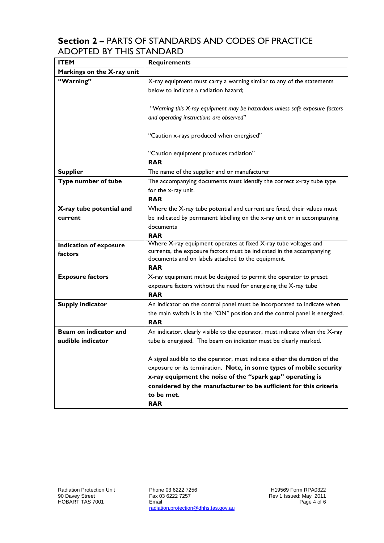### **Section 2 –** PARTS OF STANDARDS AND CODES OF PRACTICE ADOPTED BY THIS STANDARD

| <b>ITEM</b>                | <b>Requirements</b>                                                                                                                               |
|----------------------------|---------------------------------------------------------------------------------------------------------------------------------------------------|
| Markings on the X-ray unit |                                                                                                                                                   |
| "Warning"                  | X-ray equipment must carry a warning similar to any of the statements<br>below to indicate a radiation hazard;                                    |
|                            | "Warning this X-ray equipment may be hazardous unless safe exposure factors<br>and operating instructions are observed"                           |
|                            | "Caution x-rays produced when energised"                                                                                                          |
|                            | "Caution equipment produces radiation"<br><b>RAR</b>                                                                                              |
| <b>Supplier</b>            | The name of the supplier and or manufacturer                                                                                                      |
| Type number of tube        | The accompanying documents must identify the correct x-ray tube type<br>for the x-ray unit.<br><b>RAR</b>                                         |
| X-ray tube potential and   | Where the X-ray tube potential and current are fixed, their values must                                                                           |
| current                    | be indicated by permanent labelling on the x-ray unit or in accompanying                                                                          |
|                            | documents                                                                                                                                         |
|                            | <b>RAR</b>                                                                                                                                        |
| Indication of exposure     | Where X-ray equipment operates at fixed X-ray tube voltages and<br>currents, the exposure factors must be indicated in the accompanying           |
| factors                    | documents and on labels attached to the equipment.                                                                                                |
|                            | <b>RAR</b>                                                                                                                                        |
| <b>Exposure factors</b>    | X-ray equipment must be designed to permit the operator to preset                                                                                 |
|                            | exposure factors without the need for energizing the X-ray tube                                                                                   |
|                            | <b>RAR</b>                                                                                                                                        |
| <b>Supply indicator</b>    | An indicator on the control panel must be incorporated to indicate when                                                                           |
|                            | the main switch is in the "ON" position and the control panel is energized.<br><b>RAR</b>                                                         |
| Beam on indicator and      | An indicator, clearly visible to the operator, must indicate when the X-ray                                                                       |
| audible indicator          | tube is energised. The beam on indicator must be clearly marked.                                                                                  |
|                            |                                                                                                                                                   |
|                            | A signal audible to the operator, must indicate either the duration of the<br>exposure or its termination. Note, in some types of mobile security |
|                            | x-ray equipment the noise of the "spark gap" operating is                                                                                         |
|                            | considered by the manufacturer to be sufficient for this criteria                                                                                 |
|                            | to be met.                                                                                                                                        |
|                            | <b>RAR</b>                                                                                                                                        |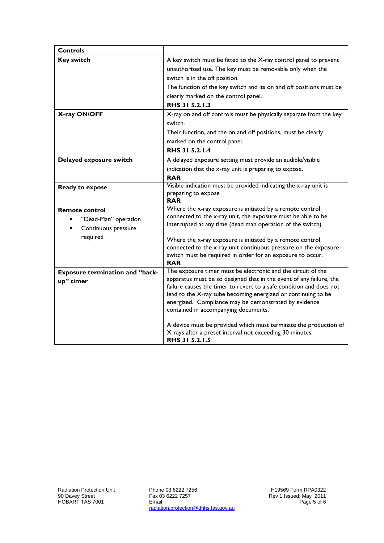| <b>Controls</b>                                                                  |                                                                                                                                                                                                                                                                                                                                                                                                                                                                                                                                |
|----------------------------------------------------------------------------------|--------------------------------------------------------------------------------------------------------------------------------------------------------------------------------------------------------------------------------------------------------------------------------------------------------------------------------------------------------------------------------------------------------------------------------------------------------------------------------------------------------------------------------|
| <b>Key switch</b>                                                                | A key switch must be fitted to the X-ray control panel to prevent<br>unauthorized use. The key must be removable only when the<br>switch is in the off position.<br>The function of the key switch and its on and off positions must be<br>clearly marked on the control panel.<br>RHS 31 5.2.1.3                                                                                                                                                                                                                              |
| X-ray ON/OFF                                                                     | X-ray on and off controls must be physically separate from the key<br>switch.<br>Their function, and the on and off positions, must be clearly<br>marked on the control panel.<br>RHS 31 5.2.1.4                                                                                                                                                                                                                                                                                                                               |
| Delayed exposure switch                                                          | A delayed exposure setting must provide an audible/visible<br>indication that the x-ray unit is preparing to expose.<br><b>RAR</b>                                                                                                                                                                                                                                                                                                                                                                                             |
| Ready to expose                                                                  | Visible indication must be provided indicating the x-ray unit is<br>preparing to expose<br><b>RAR</b>                                                                                                                                                                                                                                                                                                                                                                                                                          |
| <b>Remote control</b><br>"Dead-Man" operation<br>Continuous pressure<br>required | Where the x-ray exposure is initiated by a remote control<br>connected to the x-ray unit, the exposure must be able to be<br>interrupted at any time (dead man operation of the switch).<br>Where the x-ray exposure is initiated by a remote control<br>connected to the x-ray unit continuous pressure on the exposure<br>switch must be required in order for an exposure to occur.<br><b>RAR</b>                                                                                                                           |
| <b>Exposure termination and "back-</b><br>up" timer                              | The exposure timer must be electronic and the circuit of the<br>apparatus must be so designed that in the event of any failure, the<br>failure causes the timer to revert to a safe condition and does not<br>lead to the X-ray tube becoming energized or continuing to be<br>energized. Compliance may be demonstrated by evidence<br>contained in accompanying documents.<br>A device must be provided which must terminate the production of<br>X-rays after a preset interval not exceeding 30 minutes.<br>RHS 31 5.2.1.5 |